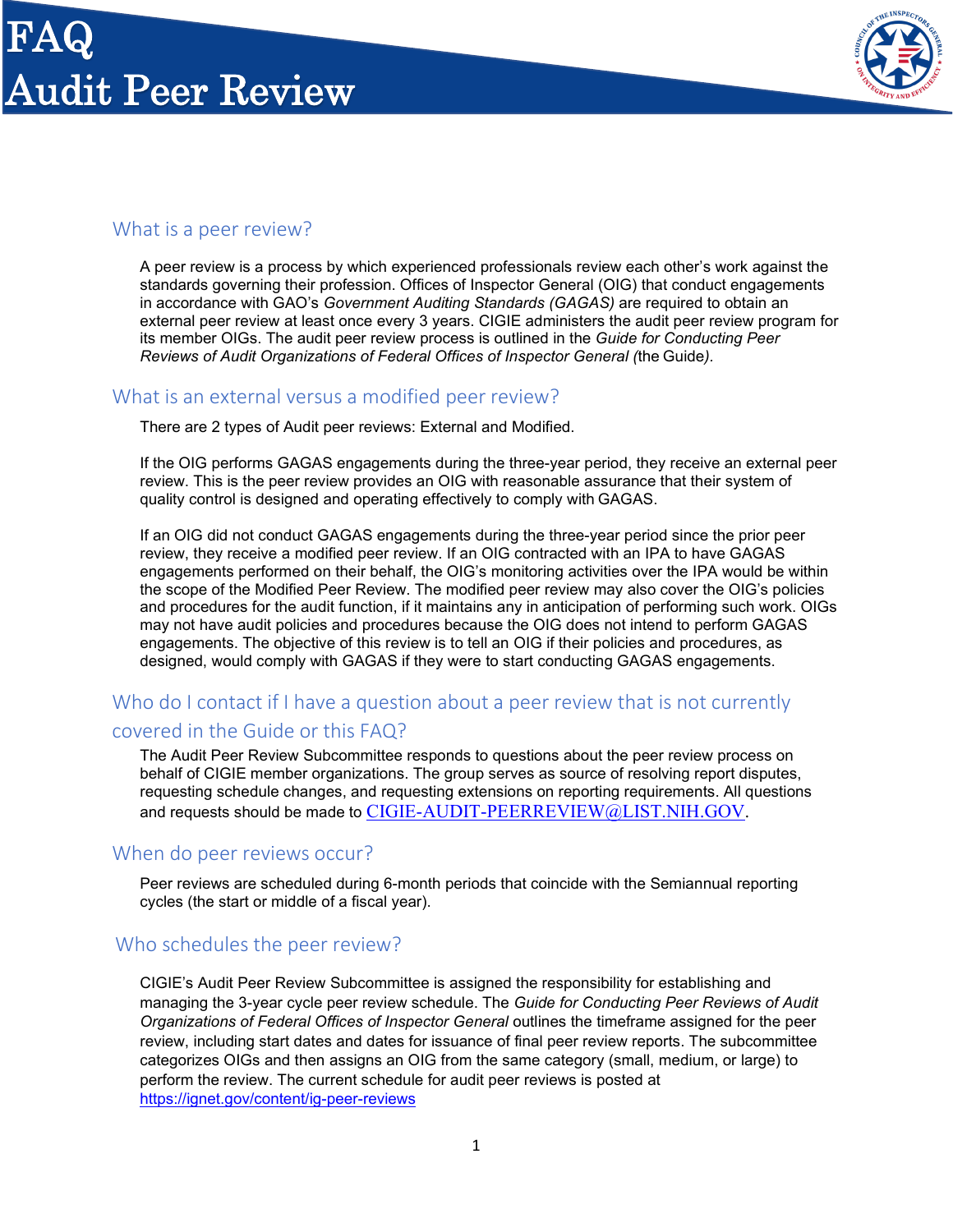

## What is a peer review?

A peer review is a process by which experienced professionals review each other's work against the standards governing their profession. Offices of Inspector General (OIG) that conduct engagements in accordance with GAO's *Government Auditing Standards (GAGAS)* are required to obtain an external peer review at least once every 3 years. CIGIE administers the audit peer review program for its member OIGs. The audit peer review process is outlined in the *Guide for Conducting Peer Reviews of Audit Organizations of Federal Offices of Inspector General (*the Guide*).*

## What is an external versus a modified peer review?

There are 2 types of Audit peer reviews: External and Modified.

If the OIG performs GAGAS engagements during the three-year period, they receive an external peer review. This is the peer review provides an OIG with reasonable assurance that their system of quality control is designed and operating effectively to comply with GAGAS.

If an OIG did not conduct GAGAS engagements during the three-year period since the prior peer review, they receive a modified peer review. If an OIG contracted with an IPA to have GAGAS engagements performed on their behalf, the OIG's monitoring activities over the IPA would be within the scope of the Modified Peer Review. The modified peer review may also cover the OIG's policies and procedures for the audit function, if it maintains any in anticipation of performing such work. OIGs may not have audit policies and procedures because the OIG does not intend to perform GAGAS engagements. The objective of this review is to tell an OIG if their policies and procedures, as designed, would comply with GAGAS if they were to start conducting GAGAS engagements.

### Who do I contact if I have a question about a peer review that is not currently covered in the Guide or this FAQ?

The Audit Peer Review Subcommittee responds to questions about the peer review process on behalf of CIGIE member organizations. The group serves as source of resolving report disputes, requesting schedule changes, and requesting extensions on reporting requirements. All questions and requests should be made to [CIGIE-AUDIT-PEERREVIEW@LIST.NIH.GOV.](mailto:CIGIE-AUDIT-PEERREVIEW@LIST.NIH.GOV)

### When do peer reviews occur?

Peer reviews are scheduled during 6-month periods that coincide with the Semiannual reporting cycles (the start or middle of a fiscal year).

### Who schedules the peer review?

CIGIE's Audit Peer Review Subcommittee is assigned the responsibility for establishing and managing the 3-year cycle peer review schedule. The *Guide for Conducting Peer Reviews of Audit Organizations of Federal Offices of Inspector General* outlines the timeframe assigned for the peer review, including start dates and dates for issuance of final peer review reports. The subcommittee categorizes OIGs and then assigns an OIG from the same category (small, medium, or large) to perform the review. The current schedule for audit peer reviews is posted at <https://ignet.gov/content/ig-peer-reviews>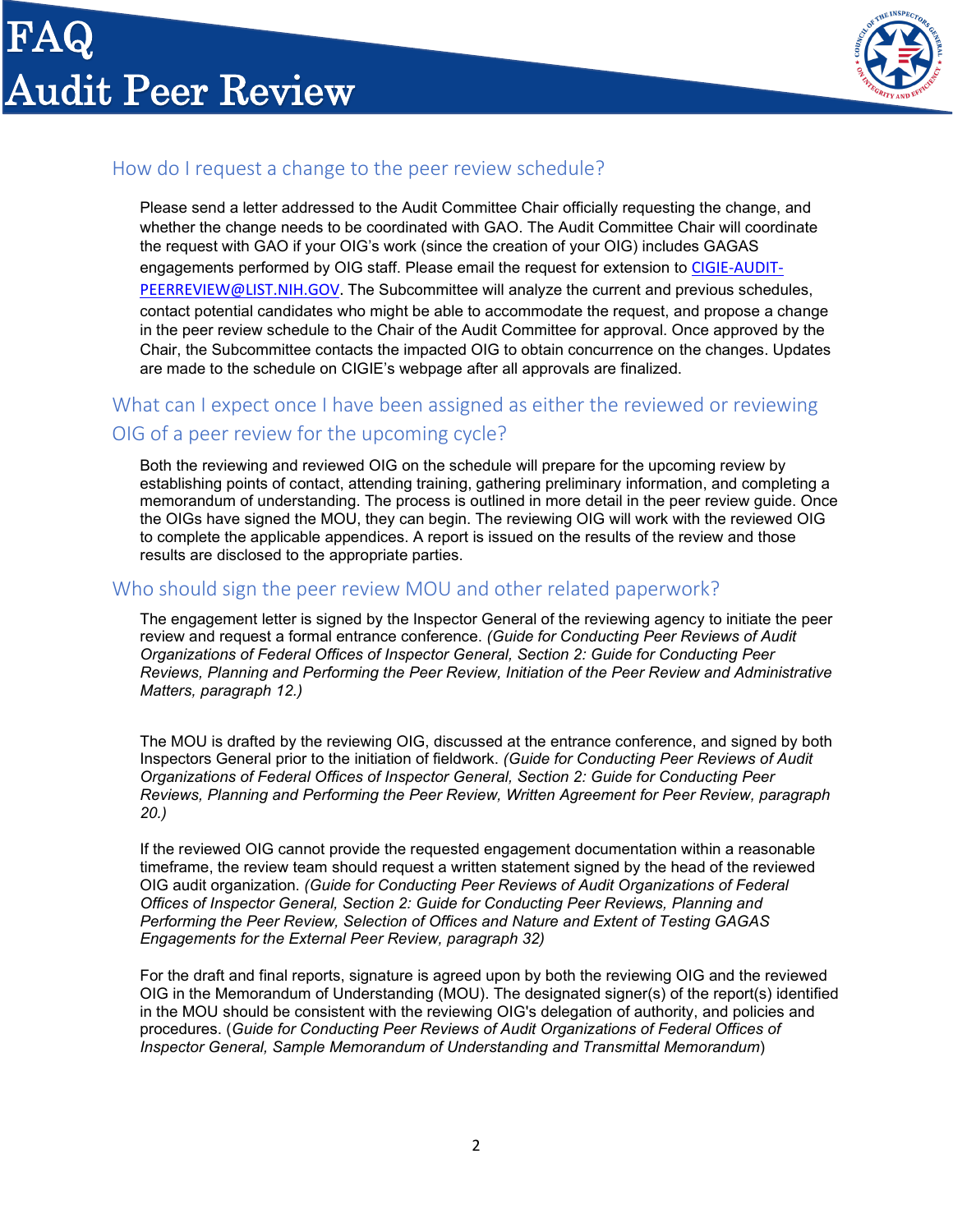

# How do I request a change to the peer review schedule?

Please send a letter addressed to the Audit Committee Chair officially requesting the change, and whether the change needs to be coordinated with GAO. The Audit Committee Chair will coordinate the request with GAO if your OIG's work (since the creation of your OIG) includes GAGAS engagements performed by OIG staff. Please email the request for extension to [CIGIE-AUDIT-](mailto:CIGIE-AUDIT-PEERREVIEW@LIST.NIH.GOV)[PEERREVIEW@LIST.NIH.GOV.](mailto:CIGIE-AUDIT-PEERREVIEW@LIST.NIH.GOV) The Subcommittee will analyze the current and previous schedules, contact potential candidates who might be able to accommodate the request, and propose a change in the peer review schedule to the Chair of the Audit Committee for approval. Once approved by the Chair, the Subcommittee contacts the impacted OIG to obtain concurrence on the changes. Updates are made to the schedule on CIGIE's webpage after all approvals are finalized.

# What can I expect once I have been assigned as either the reviewed or reviewing OIG of a peer review for the upcoming cycle?

Both the reviewing and reviewed OIG on the schedule will prepare for the upcoming review by establishing points of contact, attending training, gathering preliminary information, and completing a memorandum of understanding. The process is outlined in more detail in the peer review guide. Once the OIGs have signed the MOU, they can begin. The reviewing OIG will work with the reviewed OIG to complete the applicable appendices. A report is issued on the results of the review and those results are disclosed to the appropriate parties.

## Who should sign the peer review MOU and other related paperwork?

The engagement letter is signed by the Inspector General of the reviewing agency to initiate the peer review and request a formal entrance conference. *(Guide for Conducting Peer Reviews of Audit Organizations of Federal Offices of Inspector General, Section 2: Guide for Conducting Peer Reviews, Planning and Performing the Peer Review, Initiation of the Peer Review and Administrative Matters, paragraph 12.)*

The MOU is drafted by the reviewing OIG, discussed at the entrance conference, and signed by both Inspectors General prior to the initiation of fieldwork. *(Guide for Conducting Peer Reviews of Audit Organizations of Federal Offices of Inspector General, Section 2: Guide for Conducting Peer Reviews, Planning and Performing the Peer Review, Written Agreement for Peer Review, paragraph 20.)*

If the reviewed OIG cannot provide the requested engagement documentation within a reasonable timeframe, the review team should request a written statement signed by the head of the reviewed OIG audit organization. *(Guide for Conducting Peer Reviews of Audit Organizations of Federal Offices of Inspector General, Section 2: Guide for Conducting Peer Reviews, Planning and Performing the Peer Review, Selection of Offices and Nature and Extent of Testing GAGAS Engagements for the External Peer Review, paragraph 32)*

For the draft and final reports, signature is agreed upon by both the reviewing OIG and the reviewed OIG in the Memorandum of Understanding (MOU). The designated signer(s) of the report(s) identified in the MOU should be consistent with the reviewing OIG's delegation of authority, and policies and procedures. (*Guide for Conducting Peer Reviews of Audit Organizations of Federal Offices of Inspector General, Sample Memorandum of Understanding and Transmittal Memorandum*)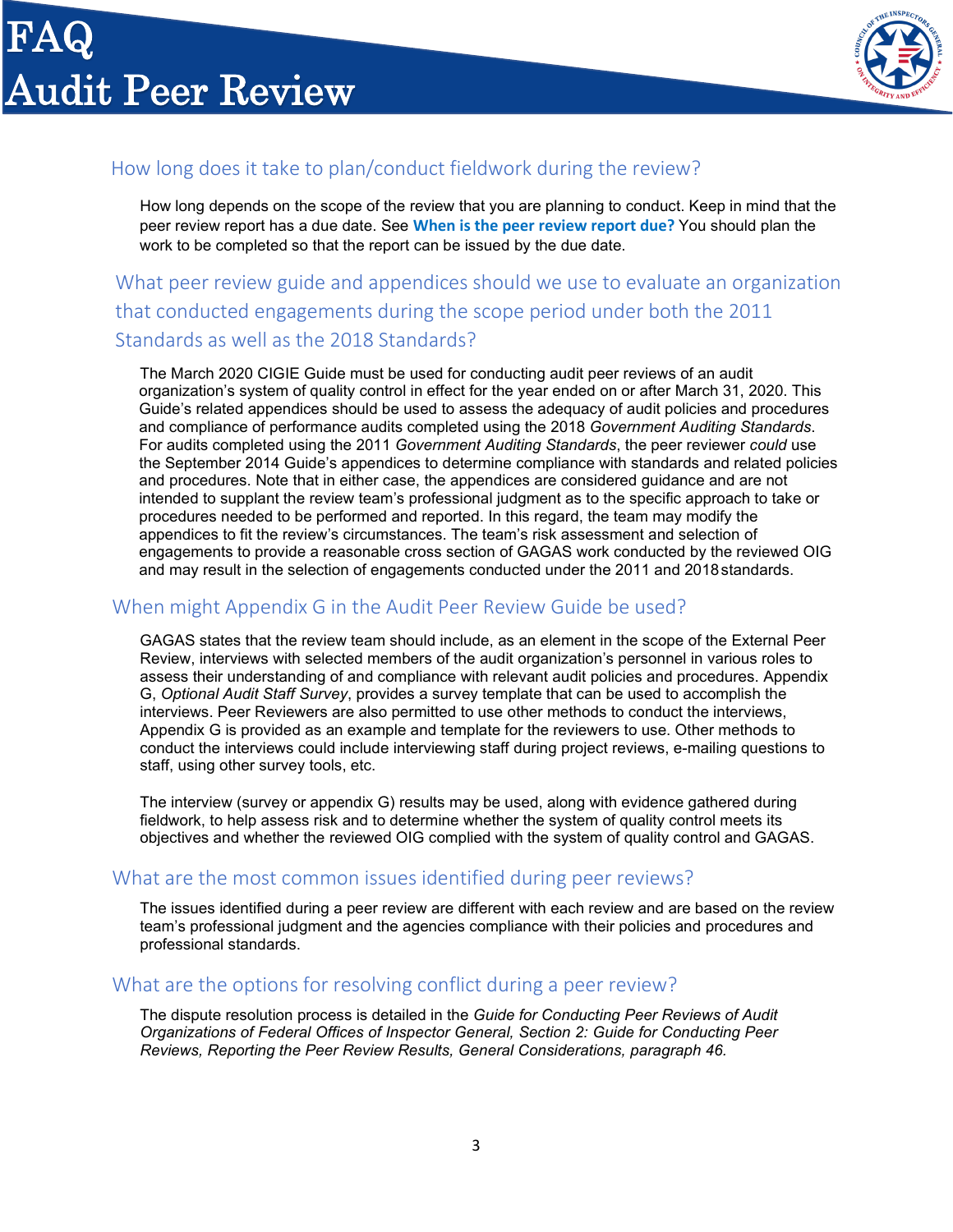

# How long does it take to plan/conduct fieldwork during the review?

How long depends on the scope of the review that you are planning to conduct. Keep in mind that the peer review report has a due date. See **[When is the peer review report due?](#page-2-0)** You should plan the work to be completed so that the report can be issued by the due date.

# What peer review guide and appendices should we use to evaluate an organization that conducted engagements during the scope period under both the 2011 Standards as well as the 2018 Standards?

The March 2020 CIGIE Guide must be used for conducting audit peer reviews of an audit organization's system of quality control in effect for the year ended on or after March 31, 2020. This Guide's related appendices should be used to assess the adequacy of audit policies and procedures and compliance of performance audits completed using the 2018 *Government Auditing Standards*. For audits completed using the 2011 *Government Auditing Standards*, the peer reviewer *could* use the September 2014 Guide's appendices to determine compliance with standards and related policies and procedures. Note that in either case, the appendices are considered guidance and are not intended to supplant the review team's professional judgment as to the specific approach to take or procedures needed to be performed and reported. In this regard, the team may modify the appendices to fit the review's circumstances. The team's risk assessment and selection of engagements to provide a reasonable cross section of GAGAS work conducted by the reviewed OIG and may result in the selection of engagements conducted under the 2011 and 2018standards.

### When might Appendix G in the Audit Peer Review Guide be used?

GAGAS states that the review team should include, as an element in the scope of the External Peer Review, interviews with selected members of the audit organization's personnel in various roles to assess their understanding of and compliance with relevant audit policies and procedures. Appendix G, *Optional Audit Staff Survey*, provides a survey template that can be used to accomplish the interviews. Peer Reviewers are also permitted to use other methods to conduct the interviews, Appendix G is provided as an example and template for the reviewers to use. Other methods to conduct the interviews could include interviewing staff during project reviews, e-mailing questions to staff, using other survey tools, etc.

The interview (survey or appendix G) results may be used, along with evidence gathered during fieldwork, to help assess risk and to determine whether the system of quality control meets its objectives and whether the reviewed OIG complied with the system of quality control and GAGAS.

## What are the most common issues identified during peer reviews?

The issues identified during a peer review are different with each review and are based on the review team's professional judgment and the agencies compliance with their policies and procedures and professional standards.

### <span id="page-2-0"></span>What are the options for resolving conflict during a peer review?

The dispute resolution process is detailed in the *Guide for Conducting Peer Reviews of Audit Organizations of Federal Offices of Inspector General, Section 2: Guide for Conducting Peer Reviews, Reporting the Peer Review Results, General Considerations, paragraph 46.*